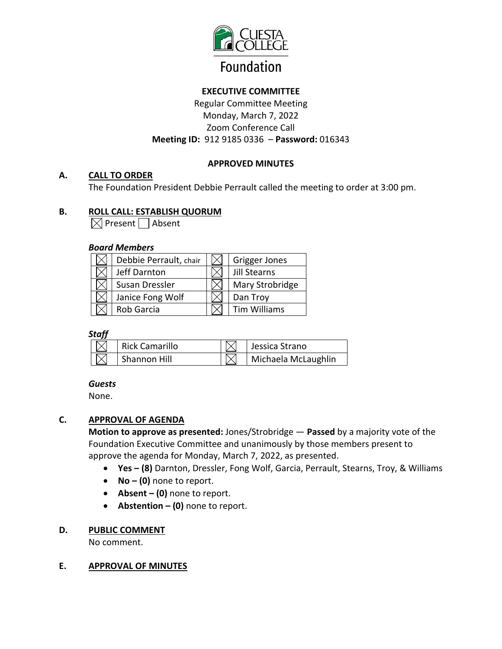

# **EXECUTIVE COMMITTEE**

Regular Committee Meeting Monday, March 7, 2022 Zoom Conference Call **Meeting ID:** 912 9185 0336– **Password:** 016343

### **APPROVED MINUTES**

### **A. CALL TO ORDER**

The Foundation President Debbie Perrault called the meeting to order at 3:00 pm.

### **B. ROLL CALL: ESTABLISH QUORUM**

 $\boxtimes$  Present  $\Box$  Absent

### *Board Members*

| Debbie Perrault, chair | Grigger Jones   |
|------------------------|-----------------|
| Jeff Darnton           | Jill Stearns    |
| Susan Dressler         | Mary Strobridge |
| Janice Fong Wolf       | Dan Troy        |
| Rob Garcia             | Tim Williams    |

### *Staff*

| Rick Camarillo | Jessica Strano      |
|----------------|---------------------|
| Shannon Hill   | Michaela McLaughlin |

### *Guests*

None.

# **C. APPROVAL OF AGENDA**

**Motion to approve as presented:** Jones/Strobridge — **Passed** by a majority vote of the Foundation Executive Committee and unanimously by those members present to approve the agenda for Monday, March 7, 2022, as presented.

- **Yes (8)** Darnton, Dressler, Fong Wolf, Garcia, Perrault, Stearns, Troy, & Williams
- **No (0)** none to report.
- **Absent (0)** none to report.
- **Abstention (0)** none to report.

### **D. PUBLIC COMMENT**

No comment.

### **E. APPROVAL OF MINUTES**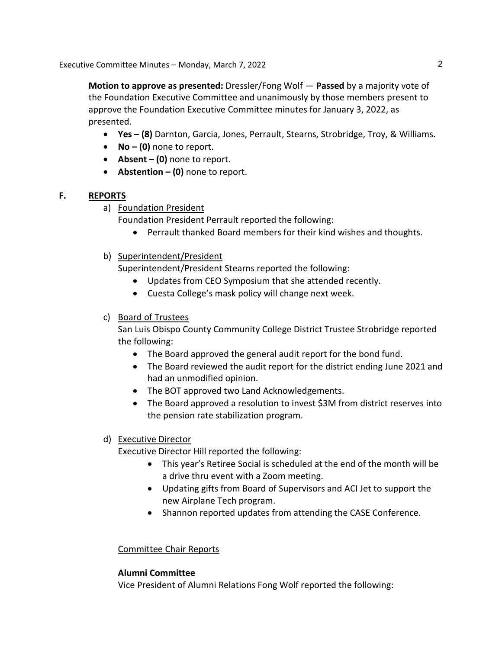Executive Committee Minutes – Monday, March 7, 2022

**Motion to approve as presented:** Dressler/Fong Wolf — **Passed** by a majority vote of the Foundation Executive Committee and unanimously by those members present to approve the Foundation Executive Committee minutes for January 3, 2022, as presented.

- **Yes (8)** Darnton, Garcia, Jones, Perrault, Stearns, Strobridge, Troy, & Williams.
- **No (0)** none to report.
- **Absent (0)** none to report.
- **Abstention (0)** none to report.

### **F. REPORTS**

a) Foundation President

Foundation President Perrault reported the following:

- Perrault thanked Board members for their kind wishes and thoughts.
- b) Superintendent/President

Superintendent/President Stearns reported the following:

- Updates from CEO Symposium that she attended recently.
- Cuesta College's mask policy will change next week.

# c) Board of Trustees

San Luis Obispo County Community College District Trustee Strobridge reported the following:

- The Board approved the general audit report for the bond fund.
- The Board reviewed the audit report for the district ending June 2021 and had an unmodified opinion.
- The BOT approved two Land Acknowledgements.
- The Board approved a resolution to invest \$3M from district reserves into the pension rate stabilization program.

# d) Executive Director

Executive Director Hill reported the following:

- This year's Retiree Social is scheduled at the end of the month will be a drive thru event with a Zoom meeting.
- Updating gifts from Board of Supervisors and ACI Jet to support the new Airplane Tech program.
- Shannon reported updates from attending the CASE Conference.

# Committee Chair Reports

# **Alumni Committee**

Vice President of Alumni Relations Fong Wolf reported the following: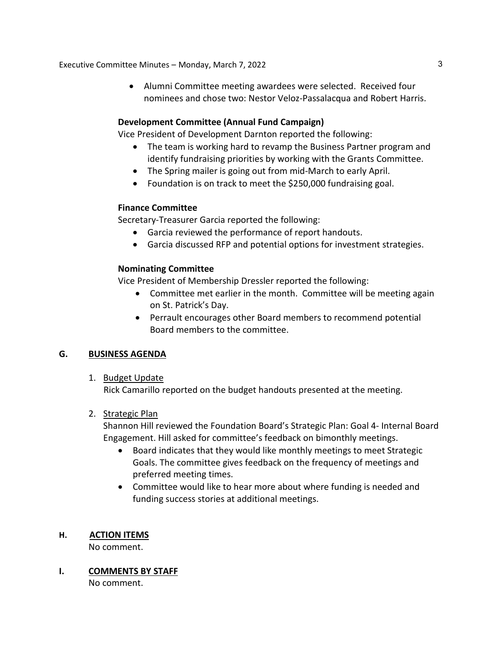Executive Committee Minutes – Monday, March 7, 2022 3

• Alumni Committee meeting awardees were selected. Received four nominees and chose two: Nestor Veloz-Passalacqua and Robert Harris.

### **Development Committee (Annual Fund Campaign)**

Vice President of Development Darnton reported the following:

- The team is working hard to revamp the Business Partner program and identify fundraising priorities by working with the Grants Committee.
- The Spring mailer is going out from mid-March to early April.
- Foundation is on track to meet the \$250,000 fundraising goal.

#### **Finance Committee**

Secretary-Treasurer Garcia reported the following:

- Garcia reviewed the performance of report handouts.
- Garcia discussed RFP and potential options for investment strategies.

### **Nominating Committee**

Vice President of Membership Dressler reported the following:

- Committee met earlier in the month. Committee will be meeting again on St. Patrick's Day.
- Perrault encourages other Board members to recommend potential Board members to the committee.

### **G. BUSINESS AGENDA**

#### 1. Budget Update

Rick Camarillo reported on the budget handouts presented at the meeting.

#### 2. Strategic Plan

Shannon Hill reviewed the Foundation Board's Strategic Plan: Goal 4- Internal Board Engagement. Hill asked for committee's feedback on bimonthly meetings.

- Board indicates that they would like monthly meetings to meet Strategic Goals. The committee gives feedback on the frequency of meetings and preferred meeting times.
- Committee would like to hear more about where funding is needed and funding success stories at additional meetings.

### **H. ACTION ITEMS**

No comment.

**I. COMMENTS BY STAFF**

No comment.